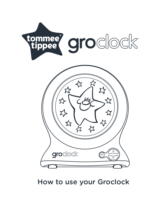

How to use your Groclock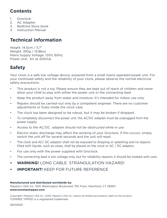### **Contents**

- 1. Groclock
- 2. AC Adapter
- 3. Bedtime Story book
- 4. Instruction Manual

## **Technical information**

Height: 14.5cm / 5.7" Weight: 393g / 13.86oz Mains Supply Voltage: 120V, 60Hz. Power Unit: 6V at 200mA.

# **Safety**

Your clock is a safe low voltage device, powered from a small mains operated power unit. For your continued safety and the reliability of your clock, please observe the normal electrical safety precautions:

- This product is not a toy. Please ensure they are kept out of reach of children and never allow your child to play with either the power unit or the connecting lead.
- Keep the product away from water and moisture. It's intended for indoor use only.
- Repairs should be carried–out only by a competent engineer. There are no customer adjustments or fuses inside the clock case.
- The clock has been designed to be robust, but it may be broken if dropped.
- To completely disconnect the power unit, the AC/DC adapter must be unplugged from the power supply.
- Access to the AC/DC adapter should not be obstructed while in use.
- Electro–static discharge may affect the working of your Groclock. If this occurs, simply switch the unit off for several seconds and the unit will reset.
- The clock and AC/ DC adaptor shall not be exposed to dripping or splashing and no objects filled with liquids, such as vases, shall be placed on the clock or AC / DC adaptor;
- For use only with the power supplied with Groclock.
- The connecting lead is low voltage only, but for reliability reasons it should be treated with care.
- **• WARNING!** LONG CABLE. STRANGULATION HAZARD!
- **• IMPORTANT!** KEEP FOR FUTURE REFERENCE

#### **Manufactured and distributed worldwide by:**

Mayborn USA Inc. 1010 Washington Boulevard, 11th Floor, Stamford, CT 06901 **www.tommeetippee.com**

Copyright© Mayborn USA Inc., 2020. Mayborn USA Inc., retains all intellectual property rights to this product. TOMMEE TIPPEE is a registered trademark.

0670050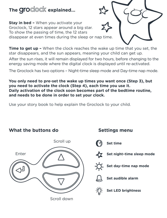# The *Groclock* explained...

**Stay in bed –** When you activate your Groclock, 12 stars appear around a big star. To show the passing of time, the 12 stars disappear at even times during the sleep or nap time.



**Time to get up –** When the clock reaches the wake up time that you set, the star disappears, and the sun appears, meaning your child can get up.

After the sun rises, it will remain displayed for two hours, before changing to the energy saving mode where the digital clock is displayed until re-activated.

The Groclock has two options – Night-time sleep mode and Day-time nap mode.

**You only need to pre-set the wake up times you want once (Step 3), but you need to activate the clock (Step 4), each time you use it. Daily activation of the clock soon becomes part of the bedtime routine, and needs to be done in order to set your clock.**

Use your story book to help explain the Groclock to your child.



**What the buttons do**

Scroll down

## **Settings menu**



**Set time**



**Set night–time sleep mode**



**Set day–time nap mode**



**Set audible alarm**



**Set LED brightness**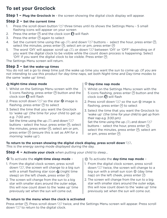## **To set your Groclock**

**Step 1 – Plug the Groclock in** - the screen showing the digital clock display will appear.

#### **Step 2 – Set the current time**

- 1. Press the scroll down button  $\nabla$  three times until its shows the Settings Menu 5 small flashing icons will appear on your screen
- 2. Press the enter  $\circledcirc$  and the clock icon  $\circledcirc$  will flash
- 3. Press the enter  $\circledast$  again to select
- 4. Set the current time using the up  $\bigcirc$  and down  $\bigcirc$  buttons select the hour, press enter  $\mathcal{P}$ . select the minutes, press enter  $\hat{\Theta}$ , select am or pm, press enter  $\hat{\Theta}$
- 5. The word 'On' will appear, scroll up  $\triangle$  or down  $\nabla$  between 'On' or 'OFF' depending on if you want the digital clock to be visible while the count down process is happening. Select 'On' if you want the digital clock to be visible. Press enter  $\circledast$

The Settings Menu screen will return.

#### **Step 3 – Set the wake-up times**

You do not set a go to sleep time just the wake up time you want the sun to come up. (If you are not intending to use this product for day-time naps, set both Night-time and Day-time modes to the same 'wake up' time).

#### **Night-time sleep mode**

- 1. Whilst on the Settings Menu screen with the 5 icons flashing, press enter  $\circledcirc$  button and the clock icon  $\mathbb O$  will flash
- 2. Press scroll down  $\heartsuit$  so the star  $\measuredangle$  image is flashing, press enter  $\Theta$  to select
- 3. Select the time that you want the Groclock to 'wake up' (the time for your child to get up e.g. 7:00 am)

Set the time using the up  $\triangle$  and down  $\heartsuit$ buttons - select the hour, press enter  $\circledast$ , select the minutes, press enter  $\odot$ , select am or pm, press enter  $\circledast$  (ensure this is set as AM for a morning 'wake up').

#### **Day-time nap mode**

- 1. Whilst on the Settings Menu screen with the 5 icons flashing, press enter  $\circledast$  button and the clock icon  $\Omega$  will flash
- 2. Press scroll down  $\mathcal{D}$  so the sun  $\mathcal{D}$  image is flashing, press enter  $\circledcirc$  to select
- 3. Select the time that you want the Groclock to 'wake up' (the time for your child to get up from their nap e.g. 3:00 pm) Set the time using the up  $\bigcirc$  and down  $\bigcirc$ buttons - select the hour, press enter  $\Theta$ , select the minutes, press enter  $\circledcirc$ , select am or pm, press enter  $\circledast$

#### **To return to the screen showing the digital clock display, press scroll down**  $\dot{\heartsuit}$ **.**

This is the energy saving mode displayed during the day.

**Step 4 – Activate your clock** when putting your child to sleep...

#### To activate the **night-time sleep mode** –

- 1. From the digital clock screen, press scroll down  $\mathcal{D}$ , the screen will change to a big sun with a small flashing star icon  $\frac{1}{2}$  (night time sleep) on the left cheek, press enter  $\Theta$
- 2. The screen will change from the sun to a big star with smaller stars around the outer edge, this will now count down to the 'wake up' time previously set when the sun will come out.

#### To activate the **day-time nap mode** –

- 1. From the digital clock screen, press scroll down  $\bigtriangledown$  twice, the screen will change to a big sun with a small sun icon  $\circ$  (day time nap) on the left cheek, press enter  $\circledcirc$
- 2. The screen will change from the sun to a big star with smaller stars around the outer edge, this will now count down to the 'wake up' time previously set when the sun will come out.

#### **To return to the menu when the clock is activated**

Press enter (®). Press scroll down  $\bigtriangledown$  twice, and the Settings Menu screen will appear. Press scroll down  $\mathbf{\nabla}$  to return to the digital clock.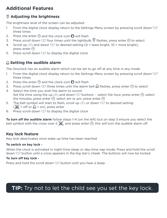# **Additional Features**

### **Adjusting the brightness**

The brightness level of the screen can be adjusted

- 1. From the digital clock display return to the Settings Menu screen by pressing scroll down  $\overline{\mathbb{C}}$ three times
- 2. Press the enter  $\circledcirc$  and the clock icon  $\circledcirc$  will flash
- 3. Press scroll down  $\bigtriangledown$  four times until the lightbulb  $\widehat{\mathbb{V}}$  flashes, press enter  $\odot$  to select
- 4. Scroll up  $\bigcirc$  and down  $\bigcirc$  to desired setting (0 = least bright, 10 = most bright). press enter (a)
- 5. Press scroll down  $\mathbf{\nabla}$  to display the digital clock

### **Setting the audible alarm**

The Groclock has an audible alarm which can be set to go off at any time in any mode.

- 1. From the digital clock display return to the Settings Menu screen by pressing scroll down  $\overline{\nabla}$ three times
- 2. Press the enter  $\circledcirc$  and the clock icon  $\circledcirc$  will flash
- 3. Press scroll down  $\heartsuit$  three times until the alarm bell  $\bigoplus$  flashes, press enter  $\circledast$  to select
- 4. Select the time you wish the alarm to sound Set the time using the up  $\bigcirc$  and down  $\bigcirc$  buttons - select the hour, press enter  $\bigcirc$ , select the minutes, press enter  $\Theta$ , select am or pm, press enter  $\Theta$
- 5. The bell symbol will start to flash, scroll up  $\bigcirc$  or down  $\bigcirc$  to desired setting  $(\mathbb{X})^2 =$  off or  $\mathbb{A}^2 =$  on), press enter
- 6. Press scroll down  $\overline{\mathbb{U}}$  to display the digital clock

**To turn off the audible alarm** follow steps 1-4 (on the left) but on step 5 ensure you select the bell symbol with the cross over it  $\chi$ , and press enter  $\Theta$ , this will turn the audible alarm off.

### **Key lock feature**

Key lock deactivates once wake up time has been reached

### **To switch on key lock -**

When the clock is activated in night-time sleep or day-time nap mode, Press and hold the scroll down  $\heartsuit$  button until a cross appears in the big star's cheek. The buttons will now be locked.

### **To turn off key lock -**

Press and hold the scroll down  $\mathcal D$  button until you hear a beep.

# **TIP:** Try not to let the child see you set the key lock.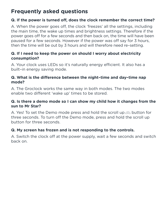# **Frequently asked questions**

### **Q. If the power is turned off, does the clock remember the correct time?**

A. When the power goes off, the clock 'freezes' all the settings, including the main time, the wake up times and brightness settings. Therefore if the power goes off for a few seconds and then back on, the time will have been paused for a few seconds. However if the power was off say for 3 hours, then the time will be out by 3 hours and will therefore need re–setting.

### **Q. If I need to keep the power on should I worry about electricity consumption?**

A. Your clock uses LEDs so it's naturally energy efficient. It also has a built–in energy saving mode.

### **Q. What is the difference between the night–time and day–time nap mode?**

A. The Groclock works the same way in both modes. The two modes enable two different 'wake up' times to be stored.

### **Q. Is there a demo mode so I can show my child how it changes from the sun to Mr Star?**

A. Yes! To set the Demo mode press and hold the scroll up  $\triangle$  button for three seconds. To turn off the Demo mode, press and hold the scroll up button for three seconds.

### **Q. My screen has frozen and is not responding to the controls.**

A. Switch the clock off at the power supply, wait a few seconds and switch back on.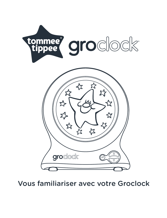

Vous familiariser avec votre Groclock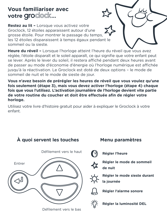# **Vous familiariser avec** votre groclock...

**Restez au lit –** Lorsque vous activez votre Groclock, 12 étoiles apparaissent autour d'une grosse étoile. Pour montrer le passage du temps, les 12 étoiles disparaissent à temps égaux pendant le sommeil ou la sieste.

**Heure du réveil –** Lorsque l'horloge atteint l'heure du réveil que vous avez réglée, l'étoile disparaît et le soleil apparaît, ce qui signifie que votre enfant peut se lever. Après le lever du soleil, il restera affiché pendant deux heures avant de passer au mode d'économie d'énergie où l'horloge numérique est affichée jusqu'à la réactivation. Le Groclock est doté de deux options – le mode de sommeil de nuit et le mode de sieste de jour.

**Vous n'avez besoin de prérégler les heures de réveil que vous voulez qu'une fois seulement (étape 3), mais vous devez activer l'horloge (étape 4) chaque fois que vous l'utilisez. L'activation journalière de l'horloge devient vite partie de votre routine du coucher et doit être effectuée afin de régler votre horloge.**

Utilisez votre livre d'histoire gratuit pour aider à expliquer le Groclock à votre enfant.



**À quoi servent les touches** 

Défilement vers le bas

## **Menu paramètres**

- **Régler l'heure**
- 

**Régler le mode de sommeil de nuit**

**Régler le mode sieste durant la journée**



**Régler l'alarme sonore**

**Régler la luminosité DEL**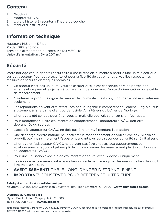### **Contenu**

- 1. Groclock
- 2. Adaptateur C.A.
- 3. Livre d'histoire à raconter à l'heure du coucher
- 4. Manuel d'instructions

## **Information technique**

Hauteur : 14,5 cm / 5,7 po Poids : 393 g, 13,86 oz Tension d'alimentation du secteur : 120 V/60 Hz Unité d'alimentation : 6V à 200 mA.

## **Sécurité**

Votre horloge est un appareil sécuritaire à basse tension, alimenté à partir d'une unité électrique sur petit secteur. Pour votre sécurité, et pour la fiabilité de votre horloge, veuillez respecter les mesures de sécurité électriques normales :

- Ce produit n'est pas un jouet. Veuillez assurer qu'elle est conservée hors de portée des enfants et ne permettez jamais à votre enfant de jouer avec l'unité d'alimentation ou le câble de raccordement.
- Maintenez le produit éloigné de l'eau et de l'humidité. Il est conçu pour être utilisé à l'intérieur seulement.
- Les réparations doivent être effectuées par un ingénieur compétent seulement. Il n'y a aucun ajustement à faire par le client ou de fusible. À l'intérieur du boîtier de l'horloge.
- L'horloge a été conçue pour être robuste, mais elle pourrait se briser si on l'échappe.
- Pour débrancher l'unité d'alimentation complètement, l'adaptateur CA/CC doit être débranchée du secteur.
- L'accès à l'adaptateur CA/CC ne doit pas être entravé pendant l'utilisation.
- Une décharge électrostatique peut affecter le fonctionnement de votre Groclock. Si cela se produit, éteignez simplement l'appareil pendant plusieurs secondes et l'unité se réinitialisera.
- L'horloge et l'adaptateur CA/CC ne doivent pas être exposés aux égouttements ou éclaboussures et aucun objet rempli de liquide comme des vases soient placés sur l'horloge et l'adaptateur CA/CC.
- Pour une utilisation avec le bloc d'alimentation fourni avec Groclock uniquement.
- Le câble de raccordement est à basse tension seulement, mais pour des raisons de fiabilité il doit être traité avec soin.
- **AVERTISSEMENT!** CÂBLE LONG. DANGER D'ÉTRANGLEMENT!
- **• IMPORTANT!** CONSERVER POUR RÉFÉRENCE ULTÉRIEURE

#### **Fabriqué et distribué mondialement par :**

Mayborn USA Inc. 1010 Washington Boulevard, 11th Floor, Stamford, CT 06901 **www.tommeetippee.com**

#### **Distribué au Canada par :**

Oyaco Products Inc. Calgary, AB, T2E 7K8. Tél : 1 866 768-4224 **www.oyaco.com**

Tous droits réservés © Mayborn USA Inc., 2020 Mayborn USA Inc., conserve tous les droits de propriété intellectuelle sur ce produit. TOMMEE TIPPEE est une marque de commerce déposée.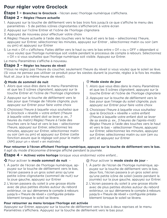## **Pour régler votre Groclock**

**Étape 1 – Branchez le Groclock** - l'écran avec l'horloge numérique s'affichera.

### **Étape 2 – Réglez l'heure actuelle**

- 1. Appuyez sur la touche de défilement vers le bas trois fois jusqu'à ce que s'affiche le menu des paramètres - 5 de petites icônes clignotantes s'afficheront à votre écran
- 2. Appuyez sur l'icône Entrer et l'icône de l'horloge clignotera
- 3. Appuyez de nouveau pour effectuer votre choix
- 4. Réglez l'heure actuelle à l'aide des touches vers le haut et vers le bas sélectionnez l'heure, appuyez sur Entrer, sélectionnez les minutes, appuyez sur Entrer , sélectionnez matin ou soir (am ou pm) et appuyez sur Entrer
- 5. Le mot « On » s'affichera. Faites défiler vers le haut ou vers le bas entre « On » ou « OFF » dépendant si vous voulez que l'horloge numérique soit visible pendant le processus de compte à rebours. Sélectionnez « On » si vous souhaitez que l'horloge numérique soit visible. Appuyez sur Entrer.

Le menu Paramètres s'affiche à nouveau.

### **Étape 3 – Régler les heures de réveil**

YVous ne réglez pas l'heure du coucher, seulement l'heure du réveil si vous voulez que le soleil se lève. (Si vous ne pensez pas utiliser ce produit pour les siestes durant la journée, réglez à la fois les modes Nuit et Jour à la même heure de réveil).

### **Mode de sommeil de nuit**

- 1. Alors que vous êtes dans le menu Paramètres et que les 5 icônes clignotent, appuyez sur la touche Entrer et l'icône de l'horloge clignotera
- 2. Appuyez sur la touche de défilement vers le bas pour que l'image de l'étoile clignote, puis appuyez sur Entrer pour faire votre choix
- 3. Choisissez l'heure à laquelle vous souhaitez que le Groclock « réveille » votre enfant (l'heure à laquelle votre enfant doit se lever p. ex., 7 heures du matin) Réglez l'heure à l'aide des touches vers le haut et vers le bas – sélectionner l'heure, appuyez sur Entrer, sélectionnez les minutes, appuyez sur Entrer, sélectionnez matin ou soir (am ou pm) et appuyez sur Entrer (cette fonction assure que le réglage soit pour le matin (AM) pour un « réveil » en matinée).

#### **Mode sieste de jour**

- 1. Alors que vous êtes dans le menu Paramètres et que les 5 icônes clignotent, appuyez sur la touche Entrer et l'icône de l'horloge clignotera
- 2. Appuyez sur la touche de défilement vers le bas pour que l'image du soleil clignote, puis appuyez sur Entrer pour faire votre choix
- 3. Choisissez l'heure à laquelle vous souhaitez que le Groclock « réveille » votre enfant (l'heure à laquelle votre enfant doit se lever de sa sieste p. ex., 3 heures de l'après-midi) Réglez l'heure à l'aide des touches vers le haut et vers le bas – sélectionner l'heure, appuyez sur Entrer, sélectionnez les minutes, appuyez sur Entrer, sélectionnez matin ou soir (am ou pm) et appuyez sur Entrer

**Pour retourner à l'écran affichant l'horloge numérique, appuyez sur la touche de défilement vers le bas.** Il agit du mode d'économie d'énergie affiché pendant la journée.

**Étape 4 – Activez votre horloge** lorsque vous endormez votre enfant...

### Pour activer le **mode sommeil de nuit** –

- 1. À partir de l'écran de l'horloge numérique, appuyez sur la touche de défilement vers le bas, l'écran passera à un gros soleil ainsi qu'une petite icône clignotante (sommeil de nuit) sur la ioue gauche, appuyez sur Entrer
- 2. L'écran passera du soleil à une grosse étoile avec de plus petites étoiles autour du rebord extérieur, ce qui démarrera le compte à rebours jusqu'à « l'heure de réveil » configurée préalablement lorsque le soleil se lèvera.

### Pour activer le **mode sieste de jour** –

- 1. À partir de l'écran de l'horloge numérique, appuyez sur la touche de défilement vers le bas, deux fois, l'écran passera à un gros soleil ainsi qu'une petite icône de soleil (sieste pendant la journée) sur la joue gauche, appuyez sur Entrer.
- 2. L'écran passera du soleil à une grosse étoile avec de plus petites étoiles autour du rebord extérieur, ce qui démarrera le compte à rebours jusqu'à « l'heure de réveil » configurée préalablement lorsque le soleil se lèvera.

### **Pour retourner au menu lorsque l'horloge est activée**

Appuyez sur Entrer, appuyez sur la touche de défilement vers le bas à deux reprises et le menu Paramètres s'affichera. Appuyez sur la touche de défilement vers le bas pour.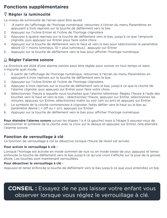### **Fonctions supplémentaires**

### **Régler la luminosité**

Le niveau de luminosité de l'écran peut être ajusté

- 1. À partir de l'affichage de l'horloge numérique, retournez à l'écran du menu Paramètres en appuyant à trois reprises sur la touche de défilement vers le bas
- 2. Appuyez sur l'icône Entrer et l'icône de l'horloge clignotera
- 3. Appuyez à quatre reprises sur la touche de défilement vers le bas, jusqu'à ce que l'ampoule clignote, puis appuyez sur Entrer pour faire votre choix
- 4. Appuyez sur la touche de défilement vers le haut et vers le bas pour sélectionner le paramètre désiré (0 = moins lumineux, 10 = plus lumineux), appuyez sur Entrer
- 5. Appuyez sur la touche de défilement vers le bas pour afficher l'horloge numérique

### **Régler l'alarme sonore**

Le Groclock est doté d'une alarme sonore peut être réglée pour sonner en tout temps et dans n'importe quel mode.

- 1. À partir de l'affichage de l'horloge numérique, retournez à l'écran du menu Paramètres en appuyant à trois reprises sur la touche de défilement vers le bas.
- 2. Appuyez sur l'icône Entrer et l'icône de l'horloge clignotera.
- 3. Appuyez à trois reprises sur la touche de défilement vers le bas, jusqu'à ce que la cloche de l'alarme clignote, puis appuyez sur Entrer pour faire votre choix.
- 4. Sélectionnez l'heure à laquelle vous souhaitez que l'alarme retentisse. Réglez l'heure à l'aide des touches vers le haut et vers le bas – sélectionnez l'heure, appuyez sur Entrer, sélectionnez les minutes, appuyez sur Entrer, sélectionnez matin ou soir (am ou pm) et appuyez sur Entrer.
- 5. Le symbole de la cloche commencera à clignoter, faites défiler vers le haut ou le bas au paramètre désiré ( = off ou = on), appuyez sur Entrer.
- 6. Appuyez sur la touche de défilement vers le bas pour afficher l'horloge numérique.

**Pour éteindre l'alarme sonore** suivez les étapes 1 à 4 (à gauche) mais à l'étape 5 assurez-vous de sélectionner le symbole de la cloche avec la croix sur le dessus et appuyez sur Entrer, cela éteindra l'alarme sonore.

### **Fonction de verrouillage à clé**

La fonction de verrouillage à clé se désactive lorsque l'heure de réveil est arrivée

#### **Pour activer le verrouillage à clé -**

Lorsque l'horloge est activée en mode sommeil de nuit ou en mode sieste de jour, appuyez et tenez enfoncée la touche de défilement vers le bas jusqu'à ce qu'une croix s'affiche sur la joue de la grosse étoile. Les touches sont maintenant verrouillées.

### **Pour désactiver le verrouillage à clé -**

Appuyez et tenez enfoncée la touche de défilement vers le bas jusqu'à ce que vous entendiez un bip.

**CONSEIL :** Essayez de ne pas laisser votre enfant vous observer lorsque vous réglez le verrouillage à clé.